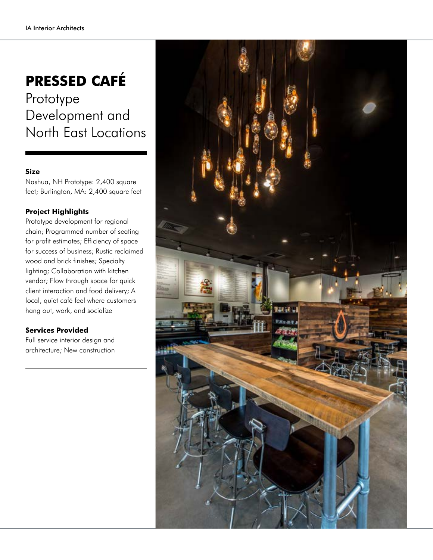## **PRESSED CAFÉ**

Prototype Development and North East Locations

## **Size**

Nashua, NH Prototype: 2,400 square feet; Burlington, MA: 2,400 square feet

## **Project Highlights**

Prototype development for regional chain; Programmed number of seating for profit estimates; Efficiency of space for success of business; Rustic reclaimed wood and brick finishes; Specialty lighting; Collaboration with kitchen vendor; Flow through space for quick client interaction and food delivery; A local, quiet café feel where customers hang out, work, and socialize

## **Services Provided**

Full service interior design and architecture; New construction